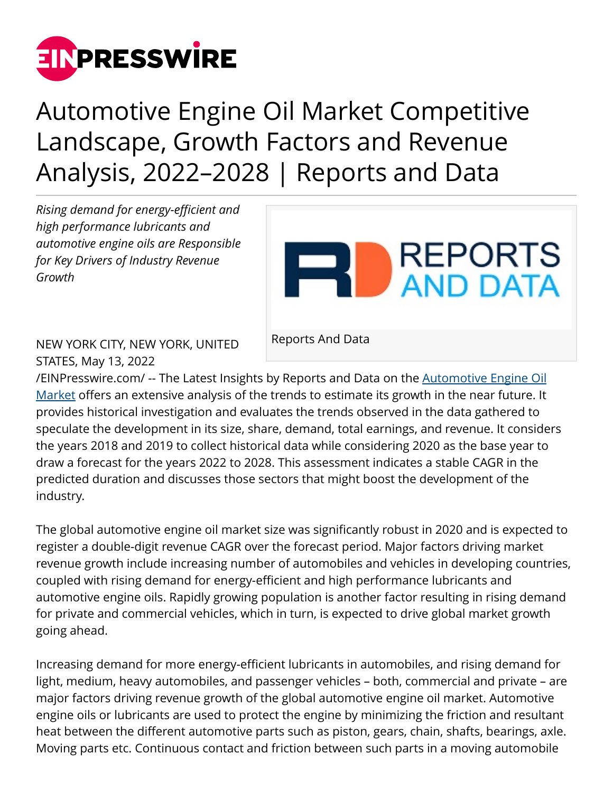

## Automotive Engine Oil Market Competitive Landscape, Growth Factors and Revenue Analysis, 2022–2028 | Reports and Data

*Rising demand for energy-efficient and high performance lubricants and automotive engine oils are Responsible for Key Drivers of Industry Revenue Growth*



NEW YORK CITY, NEW YORK, UNITED STATES, May 13, 2022

Reports And Data

[/EINPresswire.com/](http://www.einpresswire.com) -- The Latest Insights by Reports and Data on the [Automotive Engine Oil](https://www.reportsanddata.com/report-detail/automotive-engine-oil-market) [Market](https://www.reportsanddata.com/report-detail/automotive-engine-oil-market) offers an extensive analysis of the trends to estimate its growth in the near future. It provides historical investigation and evaluates the trends observed in the data gathered to speculate the development in its size, share, demand, total earnings, and revenue. It considers the years 2018 and 2019 to collect historical data while considering 2020 as the base year to draw a forecast for the years 2022 to 2028. This assessment indicates a stable CAGR in the predicted duration and discusses those sectors that might boost the development of the industry.

The global automotive engine oil market size was significantly robust in 2020 and is expected to register a double-digit revenue CAGR over the forecast period. Major factors driving market revenue growth include increasing number of automobiles and vehicles in developing countries, coupled with rising demand for energy-efficient and high performance lubricants and automotive engine oils. Rapidly growing population is another factor resulting in rising demand for private and commercial vehicles, which in turn, is expected to drive global market growth going ahead.

Increasing demand for more energy-efficient lubricants in automobiles, and rising demand for light, medium, heavy automobiles, and passenger vehicles – both, commercial and private – are major factors driving revenue growth of the global automotive engine oil market. Automotive engine oils or lubricants are used to protect the engine by minimizing the friction and resultant heat between the different automotive parts such as piston, gears, chain, shafts, bearings, axle. Moving parts etc. Continuous contact and friction between such parts in a moving automobile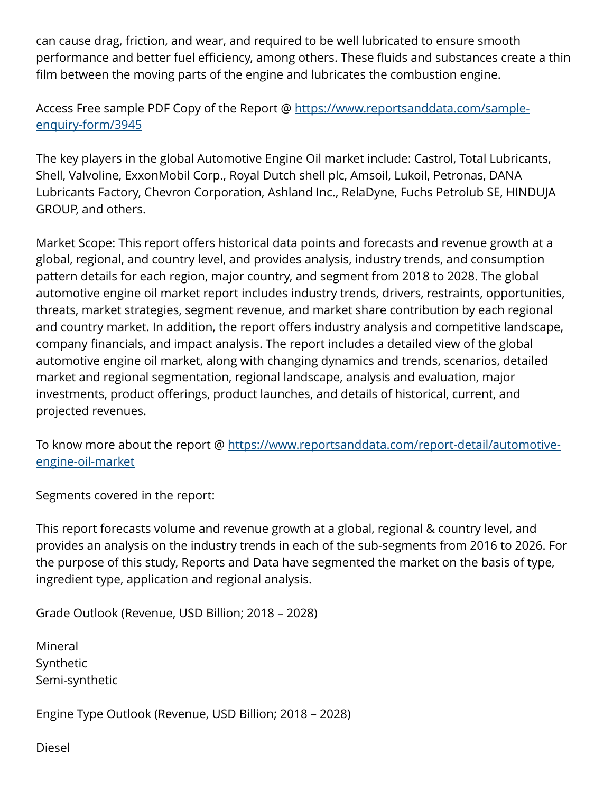can cause drag, friction, and wear, and required to be well lubricated to ensure smooth performance and better fuel efficiency, among others. These fluids and substances create a thin film between the moving parts of the engine and lubricates the combustion engine.

## Access Free sample PDF Copy of the Report @ [https://www.reportsanddata.com/sample](https://www.reportsanddata.com/sample-enquiry-form/3945)[enquiry-form/3945](https://www.reportsanddata.com/sample-enquiry-form/3945)

The key players in the global Automotive Engine Oil market include: Castrol, Total Lubricants, Shell, Valvoline, ExxonMobil Corp., Royal Dutch shell plc, Amsoil, Lukoil, Petronas, DANA Lubricants Factory, Chevron Corporation, Ashland Inc., RelaDyne, Fuchs Petrolub SE, HINDUJA GROUP, and others.

Market Scope: This report offers historical data points and forecasts and revenue growth at a global, regional, and country level, and provides analysis, industry trends, and consumption pattern details for each region, major country, and segment from 2018 to 2028. The global automotive engine oil market report includes industry trends, drivers, restraints, opportunities, threats, market strategies, segment revenue, and market share contribution by each regional and country market. In addition, the report offers industry analysis and competitive landscape, company financials, and impact analysis. The report includes a detailed view of the global automotive engine oil market, along with changing dynamics and trends, scenarios, detailed market and regional segmentation, regional landscape, analysis and evaluation, major investments, product offerings, product launches, and details of historical, current, and projected revenues.

To know more about the report @ [https://www.reportsanddata.com/report-detail/automotive](https://www.reportsanddata.com/report-detail/automotive-engine-oil-market)[engine-oil-market](https://www.reportsanddata.com/report-detail/automotive-engine-oil-market)

Segments covered in the report:

This report forecasts volume and revenue growth at a global, regional & country level, and provides an analysis on the industry trends in each of the sub-segments from 2016 to 2026. For the purpose of this study, Reports and Data have segmented the market on the basis of type, ingredient type, application and regional analysis.

Grade Outlook (Revenue, USD Billion; 2018 – 2028)

Mineral Synthetic Semi-synthetic

Engine Type Outlook (Revenue, USD Billion; 2018 – 2028)

Diesel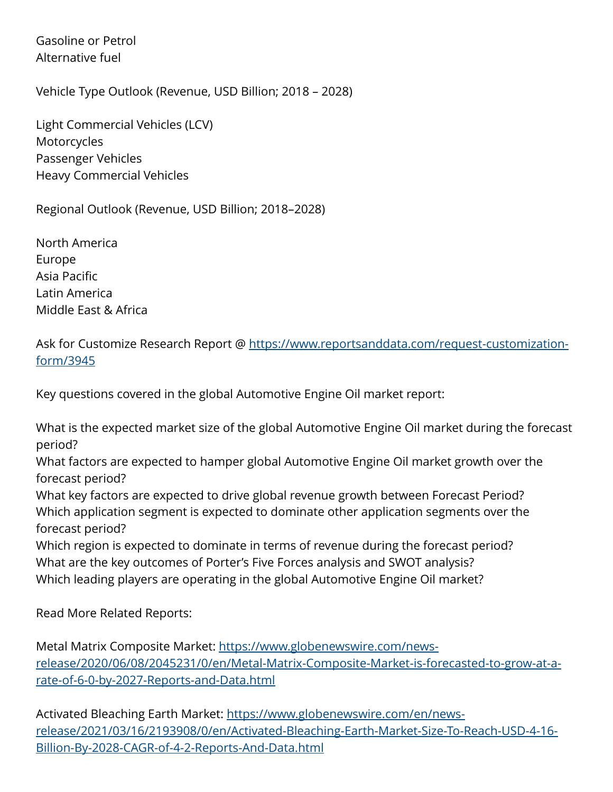Gasoline or Petrol Alternative fuel

Vehicle Type Outlook (Revenue, USD Billion; 2018 – 2028)

Light Commercial Vehicles (LCV) **Motorcycles** Passenger Vehicles Heavy Commercial Vehicles

Regional Outlook (Revenue, USD Billion; 2018–2028)

North America Europe Asia Pacific Latin America Middle East & Africa

Ask for Customize Research Report @ [https://www.reportsanddata.com/request-customization](https://www.reportsanddata.com/request-customization-form/3945)[form/3945](https://www.reportsanddata.com/request-customization-form/3945)

Key questions covered in the global Automotive Engine Oil market report:

What is the expected market size of the global Automotive Engine Oil market during the forecast period?

What factors are expected to hamper global Automotive Engine Oil market growth over the forecast period?

What key factors are expected to drive global revenue growth between Forecast Period? Which application segment is expected to dominate other application segments over the forecast period?

Which region is expected to dominate in terms of revenue during the forecast period? What are the key outcomes of Porter's Five Forces analysis and SWOT analysis? Which leading players are operating in the global Automotive Engine Oil market?

Read More Related Reports:

Metal Matrix Composite Market: [https://www.globenewswire.com/news](https://www.globenewswire.com/news-release/2020/06/08/2045231/0/en/Metal-Matrix-Composite-Market-is-forecasted-to-grow-at-a-rate-of-6-0-by-2027-Reports-and-Data.html)[release/2020/06/08/2045231/0/en/Metal-Matrix-Composite-Market-is-forecasted-to-grow-at-a](https://www.globenewswire.com/news-release/2020/06/08/2045231/0/en/Metal-Matrix-Composite-Market-is-forecasted-to-grow-at-a-rate-of-6-0-by-2027-Reports-and-Data.html)[rate-of-6-0-by-2027-Reports-and-Data.html](https://www.globenewswire.com/news-release/2020/06/08/2045231/0/en/Metal-Matrix-Composite-Market-is-forecasted-to-grow-at-a-rate-of-6-0-by-2027-Reports-and-Data.html)

Activated Bleaching Earth Market: [https://www.globenewswire.com/en/news](https://www.globenewswire.com/en/news-release/2021/03/16/2193908/0/en/Activated-Bleaching-Earth-Market-Size-To-Reach-USD-4-16-Billion-By-2028-CAGR-of-4-2-Reports-And-Data.html)[release/2021/03/16/2193908/0/en/Activated-Bleaching-Earth-Market-Size-To-Reach-USD-4-16-](https://www.globenewswire.com/en/news-release/2021/03/16/2193908/0/en/Activated-Bleaching-Earth-Market-Size-To-Reach-USD-4-16-Billion-By-2028-CAGR-of-4-2-Reports-And-Data.html) [Billion-By-2028-CAGR-of-4-2-Reports-And-Data.html](https://www.globenewswire.com/en/news-release/2021/03/16/2193908/0/en/Activated-Bleaching-Earth-Market-Size-To-Reach-USD-4-16-Billion-By-2028-CAGR-of-4-2-Reports-And-Data.html)